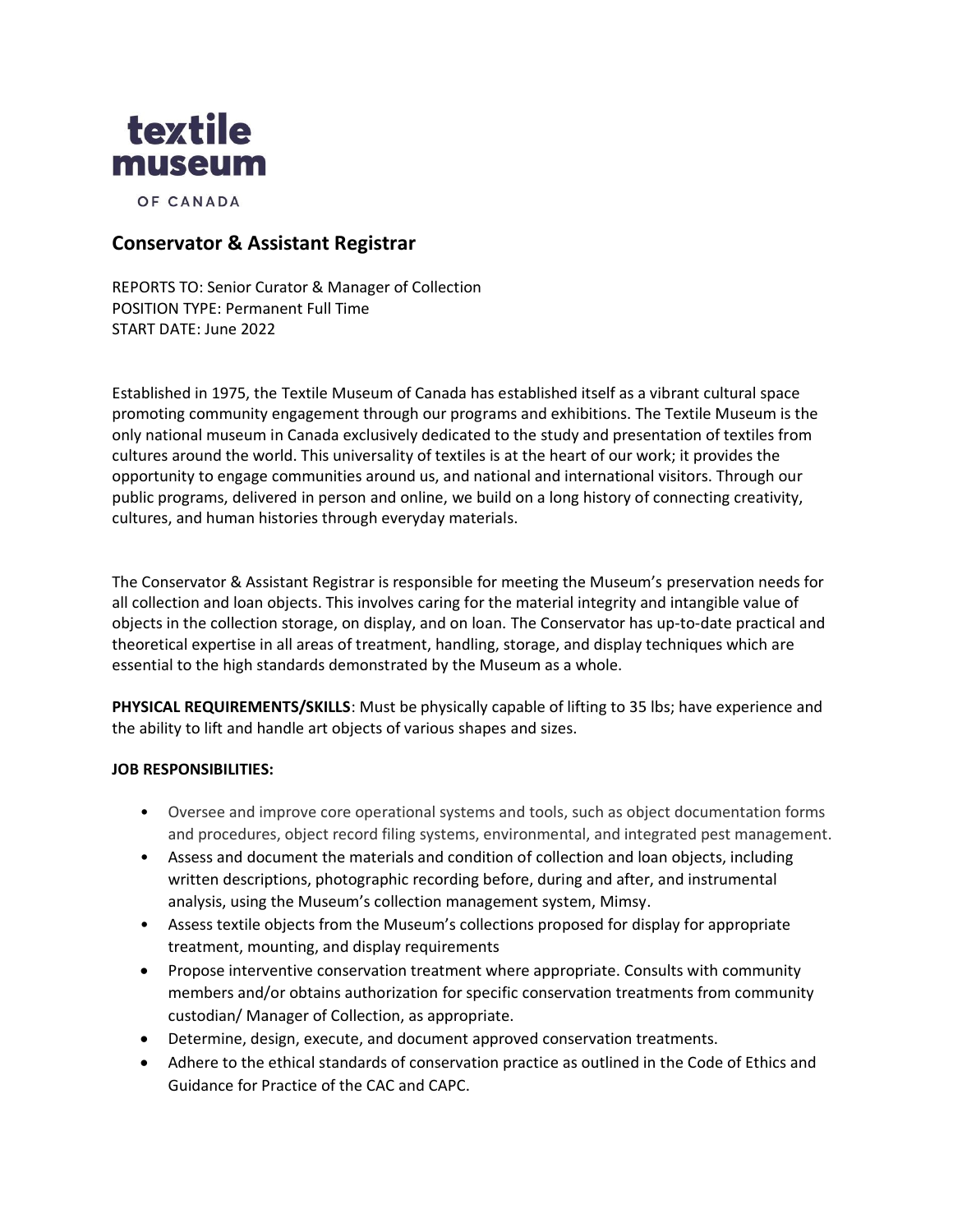

OF CANADA

# **Conservator & Assistant Registrar**

REPORTS TO: Senior Curator & Manager of Collection POSITION TYPE: Permanent Full Time START DATE: June 2022

Established in 1975, the Textile Museum of Canada has established itself as a vibrant cultural space promoting community engagement through our programs and exhibitions. The Textile Museum is the only national museum in Canada exclusively dedicated to the study and presentation of textiles from cultures around the world. This universality of textiles is at the heart of our work; it provides the opportunity to engage communities around us, and national and international visitors. Through our public programs, delivered in person and online, we build on a long history of connecting creativity, cultures, and human histories through everyday materials.

The Conservator & Assistant Registrar is responsible for meeting the Museum's preservation needs for all collection and loan objects. This involves caring for the material integrity and intangible value of objects in the collection storage, on display, and on loan. The Conservator has up-to-date practical and theoretical expertise in all areas of treatment, handling, storage, and display techniques which are essential to the high standards demonstrated by the Museum as a whole.

**PHYSICAL REQUIREMENTS/SKILLS**: Must be physically capable of lifting to 35 lbs; have experience and the ability to lift and handle art objects of various shapes and sizes.

### **JOB RESPONSIBILITIES:**

- Oversee and improve core operational systems and tools, such as object documentation forms and procedures, object record filing systems, environmental, and integrated pest management.
- Assess and document the materials and condition of collection and loan objects, including written descriptions, photographic recording before, during and after, and instrumental analysis, using the Museum's collection management system, Mimsy.
- Assess textile objects from the Museum's collections proposed for display for appropriate treatment, mounting, and display requirements
- Propose interventive conservation treatment where appropriate. Consults with community members and/or obtains authorization for specific conservation treatments from community custodian/ Manager of Collection, as appropriate.
- Determine, design, execute, and document approved conservation treatments.
- Adhere to the ethical standards of conservation practice as outlined in the Code of Ethics and Guidance for Practice of the CAC and CAPC.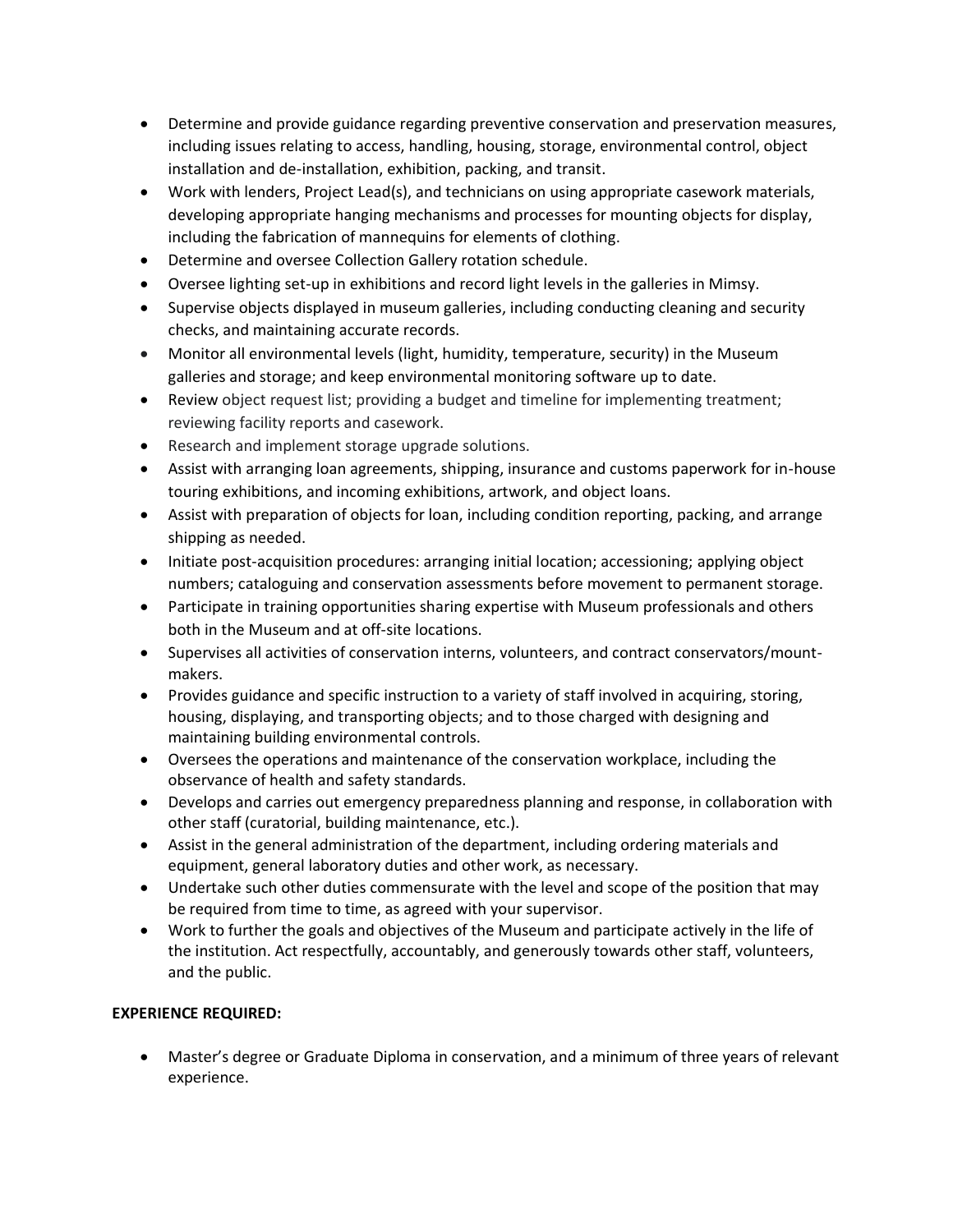- Determine and provide guidance regarding preventive conservation and preservation measures, including issues relating to access, handling, housing, storage, environmental control, object installation and de-installation, exhibition, packing, and transit.
- Work with lenders, Project Lead(s), and technicians on using appropriate casework materials, developing appropriate hanging mechanisms and processes for mounting objects for display, including the fabrication of mannequins for elements of clothing.
- Determine and oversee Collection Gallery rotation schedule.
- Oversee lighting set-up in exhibitions and record light levels in the galleries in Mimsy.
- Supervise objects displayed in museum galleries, including conducting cleaning and security checks, and maintaining accurate records.
- Monitor all environmental levels (light, humidity, temperature, security) in the Museum galleries and storage; and keep environmental monitoring software up to date.
- Review object request list; providing a budget and timeline for implementing treatment; reviewing facility reports and casework.
- Research and implement storage upgrade solutions.
- Assist with arranging loan agreements, shipping, insurance and customs paperwork for in-house touring exhibitions, and incoming exhibitions, artwork, and object loans.
- Assist with preparation of objects for loan, including condition reporting, packing, and arrange shipping as needed.
- Initiate post-acquisition procedures: arranging initial location; accessioning; applying object numbers; cataloguing and conservation assessments before movement to permanent storage.
- Participate in training opportunities sharing expertise with Museum professionals and others both in the Museum and at off-site locations.
- Supervises all activities of conservation interns, volunteers, and contract conservators/mountmakers.
- Provides guidance and specific instruction to a variety of staff involved in acquiring, storing, housing, displaying, and transporting objects; and to those charged with designing and maintaining building environmental controls.
- Oversees the operations and maintenance of the conservation workplace, including the observance of health and safety standards.
- Develops and carries out emergency preparedness planning and response, in collaboration with other staff (curatorial, building maintenance, etc.).
- Assist in the general administration of the department, including ordering materials and equipment, general laboratory duties and other work, as necessary.
- Undertake such other duties commensurate with the level and scope of the position that may be required from time to time, as agreed with your supervisor.
- Work to further the goals and objectives of the Museum and participate actively in the life of the institution. Act respectfully, accountably, and generously towards other staff, volunteers, and the public.

## **EXPERIENCE REQUIRED:**

• Master's degree or Graduate Diploma in conservation, and a minimum of three years of relevant experience.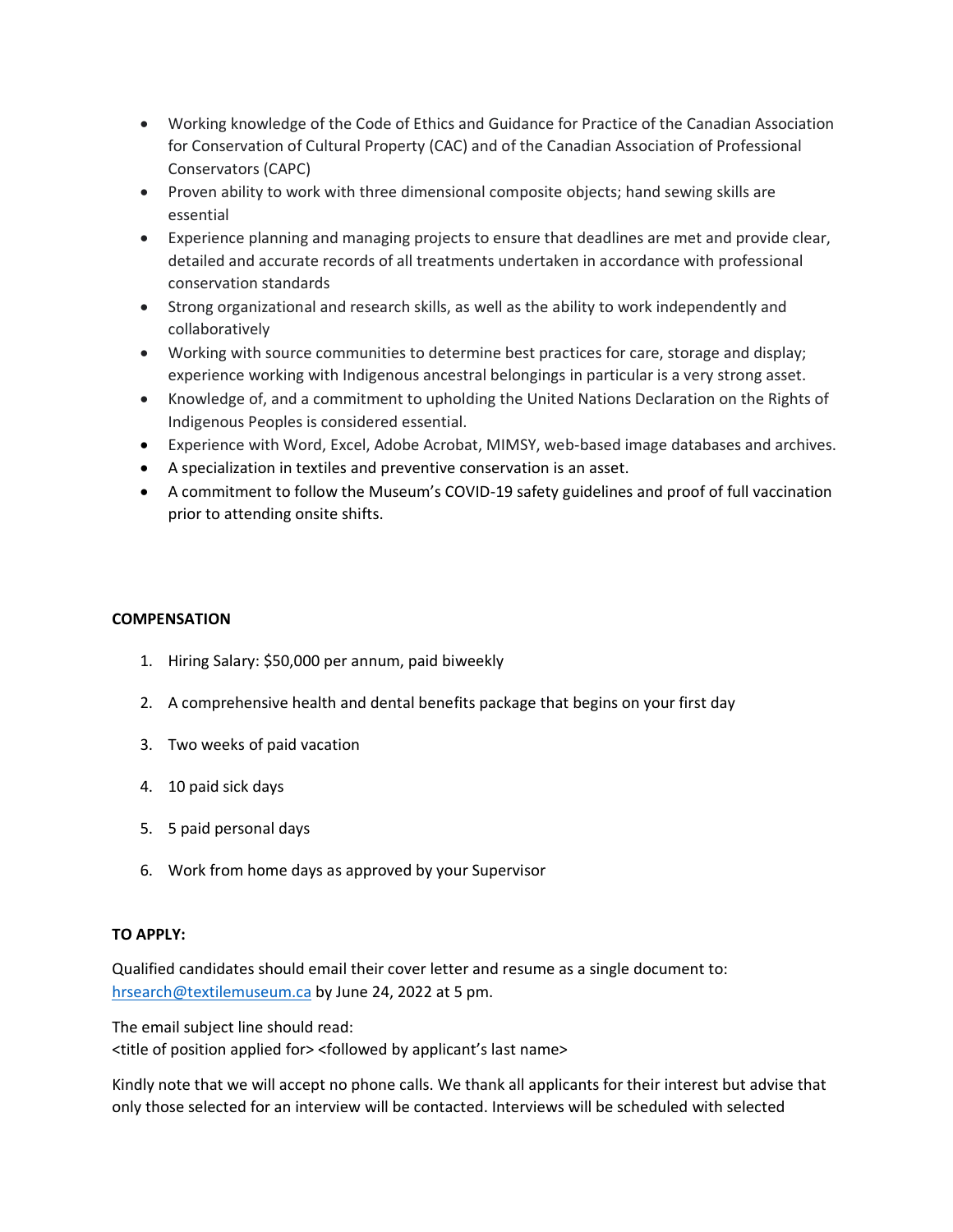- Working knowledge of the Code of Ethics and Guidance for Practice of the Canadian Association for Conservation of Cultural Property (CAC) and of the Canadian Association of Professional Conservators (CAPC)
- Proven ability to work with three dimensional composite objects; hand sewing skills are essential
- Experience planning and managing projects to ensure that deadlines are met and provide clear, detailed and accurate records of all treatments undertaken in accordance with professional conservation standards
- Strong organizational and research skills, as well as the ability to work independently and collaboratively
- Working with source communities to determine best practices for care, storage and display; experience working with Indigenous ancestral belongings in particular is a very strong asset.
- Knowledge of, and a commitment to upholding the United Nations Declaration on the Rights of Indigenous Peoples is considered essential.
- Experience with Word, Excel, Adobe Acrobat, MIMSY, web-based image databases and archives.
- A specialization in textiles and preventive conservation is an asset.
- A commitment to follow the Museum's COVID-19 safety guidelines and proof of full vaccination prior to attending onsite shifts.

## **COMPENSATION**

- 1. Hiring Salary: \$50,000 per annum, paid biweekly
- 2. A comprehensive health and dental benefits package that begins on your first day
- 3. Two weeks of paid vacation
- 4. 10 paid sick days
- 5. 5 paid personal days
- 6. Work from home days as approved by your Supervisor

### **TO APPLY:**

Qualified candidates should email their cover letter and resume as a single document to: [hrsearch@textilemuseum.ca](mailto:hrsearch@textilemuseum.ca) by June 24, 2022 at 5 pm.

The email subject line should read:

<title of position applied for> <followed by applicant's last name>

Kindly note that we will accept no phone calls. We thank all applicants for their interest but advise that only those selected for an interview will be contacted. Interviews will be scheduled with selected